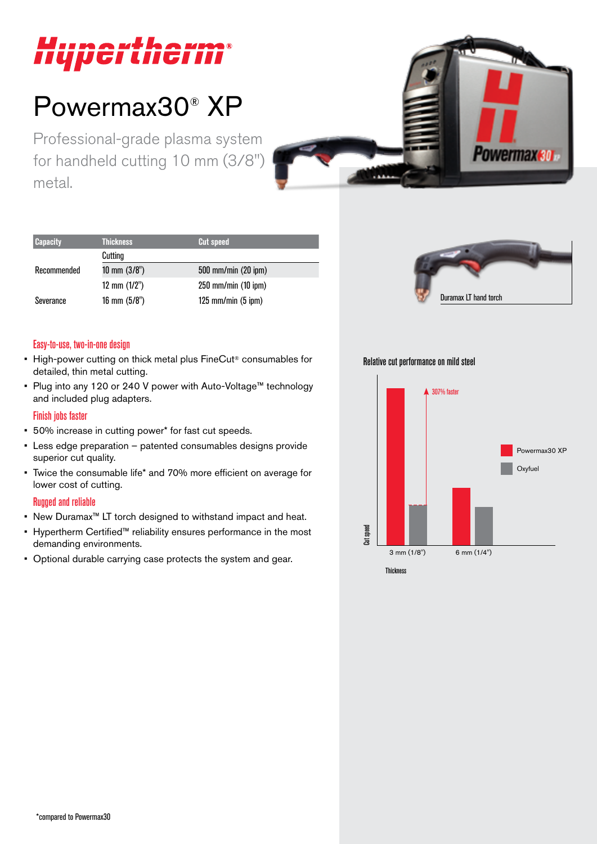

# Powermax30® XP

Professional-grade plasma system for handheld cutting 10 mm (3/8") metal.



| <b>Capacity</b> | <b>Thickness</b>        | <b>Cut speed</b>        |
|-----------------|-------------------------|-------------------------|
|                 | Cutting                 |                         |
| Recommended     | $10 \text{ mm } (3/8")$ | 500 mm/min (20 ipm)     |
|                 | 12 mm $(1/2")$          | $250$ mm/min $(10$ ipm) |
| Severance       | 16 mm $(5/8")$          | $125$ mm/min $(5$ ipm)  |



#### Easy-to-use, two-in-one design

- High-power cutting on thick metal plus FineCut® consumables for detailed, thin metal cutting.
- Plug into any 120 or 240 V power with Auto-Voltage™ technology and included plug adapters.

#### Finish jobs faster

- 50% increase in cutting power\* for fast cut speeds.
- Less edge preparation patented consumables designs provide superior cut quality.
- Twice the consumable life\* and 70% more efficient on average for lower cost of cutting.

#### Rugged and reliable

- New Duramax™ LT torch designed to withstand impact and heat.
- Hypertherm Certified™ reliability ensures performance in the most demanding environments.
- Optional durable carrying case protects the system and gear.

Relative cut performance on mild steel

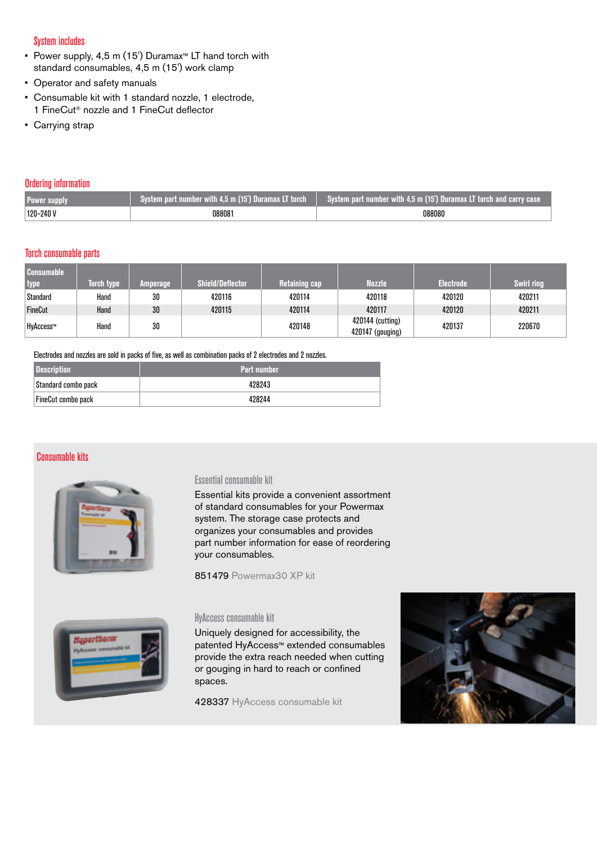#### System includes

- Power supply, 4,5 m (15') Duramax™ LT hand torch with standard consumables, 4,5 m (15') work clamp
- Operator and safety manuals
- Consumable kit with 1 standard nozzle, 1 electrode, 1 FineCut® nozzle and 1 FineCut deflector
- Carrying strap

#### Ordering information

| <b>Power supply</b>  | System part number with $4.5 \overline{m}$ (15 <sup>'</sup> ) Duramax LT torch $\overline{a}$ | System part number with 4,5 m (15') Duramax LT torch and carry case |
|----------------------|-----------------------------------------------------------------------------------------------|---------------------------------------------------------------------|
| $^{\circ}$ 120–240 V | 088081                                                                                        | 088080                                                              |

#### Torch consumable parts

| <b>Consumable</b><br>  type | <b>Torch type</b> | <b>Amperage</b> | <b>Shield/Deflector</b> | <b>Retaining cap</b> | <b>Nozzle</b>                        | <b>Electrode</b> | <b>Swirl ring</b> |
|-----------------------------|-------------------|-----------------|-------------------------|----------------------|--------------------------------------|------------------|-------------------|
| Standard                    | Hand              | 30              | 420116                  | 420114               | 420118                               | 420120           | 420211            |
| FineCut                     | Hand              | 30              | 420115                  | 420114               | 420117                               | 420120           | 420211            |
| HyAccess™                   | Hand              | 30              |                         | 420148               | 420144 (cutting)<br>420147 (gouging) | 420137           | 220670            |

#### Electrodes and nozzles are sold in packs of five, as well as combination packs of 2 electrodes and 2 nozzles.

| <b>Description</b>        | <b>Part number</b> |
|---------------------------|--------------------|
| Standard combo pack       | 428243             |
| <b>FineCut combo pack</b> | 428244             |

### Consumable kits



#### Essential consumable kit

Essential kits provide a convenient assortment of standard consumables for your Powermax system. The storage case protects and organizes your consumables and provides part number information for ease of reordering your consumables.

851479 Powermax30 XP kit



#### HyAccess consumable kit

Uniquely designed for accessibility, the patented HyAccess™ extended consumables provide the extra reach needed when cutting or gouging in hard to reach or confined spaces.

428337 HyAccess consumable kit

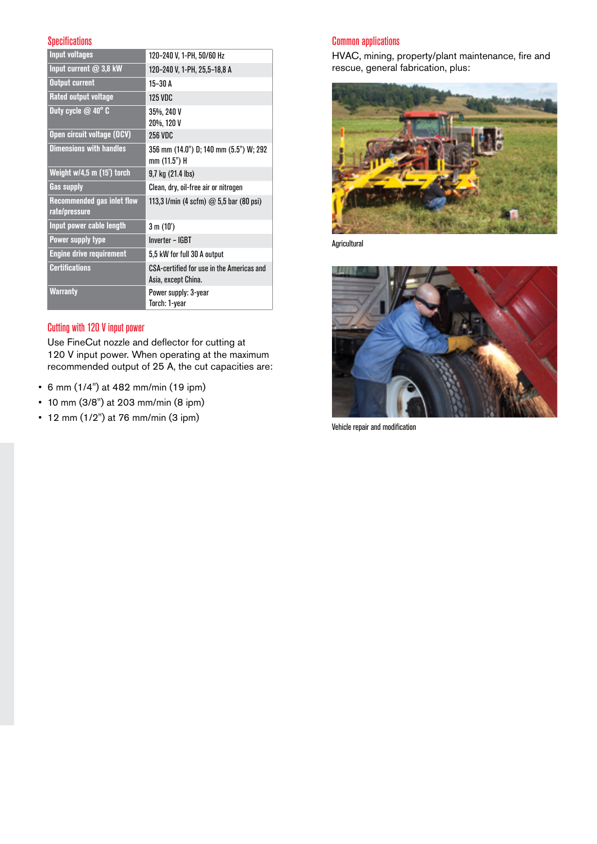#### **Specifications**

| <b>Input voltages</b>                       | 120-240 V, 1-PH, 50/60 Hz                                        |
|---------------------------------------------|------------------------------------------------------------------|
| Input current $@3,8$ kW                     | 120-240 V, 1-PH, 25,5-18,8 A                                     |
| <b>Output current</b>                       | $15 - 30$ A                                                      |
| Rated output voltage                        | <b>125 VDC</b>                                                   |
| Duty cycle $@$ 40 $^{\circ}$ C              | 35%, 240 V<br>20%, 120 V                                         |
| Open circuit voltage (OCV)                  | 256 VDC                                                          |
| <b>Dimensions with handles</b>              | 356 mm (14.0") D; 140 mm (5.5") W; 292<br>mm (11.5") H           |
| Weight w/4,5 m (15') torch                  | 9,7 kg (21.4 lbs)                                                |
| <b>Gas supply</b>                           | Clean, dry, oil-free air or nitrogen                             |
| Recommended gas inlet flow<br>rate/pressure | 113,3 l/min (4 scfm) $@$ 5,5 bar (80 psi)                        |
| Input power cable length                    | 3 m (10')                                                        |
| <b>Power supply type</b>                    | Inverter - IGBT                                                  |
| <b>Engine drive requirement</b>             | 5,5 kW for full 30 A output                                      |
| <b>Certifications</b>                       | CSA-certified for use in the Americas and<br>Asia, except China. |
| <b>Warranty</b>                             | Power supply: 3-year<br>Torch: 1-year                            |

# Cutting with 120 V input power

Use FineCut nozzle and deflector for cutting at 120 V input power. When operating at the maximum recommended output of 25 A, the cut capacities are:

- 6 mm (1/4") at 482 mm/min (19 ipm)
- 10 mm (3/8") at 203 mm/min (8 ipm)
- 12 mm (1/2") at 76 mm/min (3 ipm)

# Common applications

HVAC, mining, property/plant maintenance, fire and rescue, general fabrication, plus:



Agricultural



Vehicle repair and modification